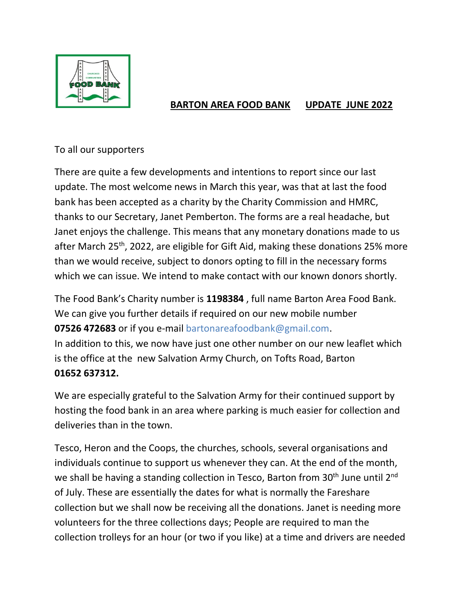

## **BARTON AREA FOOD BANK UPDATE JUNE 2022**

## To all our supporters

There are quite a few developments and intentions to report since our last update. The most welcome news in March this year, was that at last the food bank has been accepted as a charity by the Charity Commission and HMRC, thanks to our Secretary, Janet Pemberton. The forms are a real headache, but Janet enjoys the challenge. This means that any monetary donations made to us after March 25<sup>th</sup>, 2022, are eligible for Gift Aid, making these donations 25% more than we would receive, subject to donors opting to fill in the necessary forms which we can issue. We intend to make contact with our known donors shortly.

The Food Bank's Charity number is **1198384** , full name Barton Area Food Bank. We can give you further details if required on our new mobile number **07526 472683** or if you e-mail bartonareafoodbank@gmail.com. In addition to this, we now have just one other number on our new leaflet which is the office at the new Salvation Army Church, on Tofts Road, Barton **01652 637312.**

We are especially grateful to the Salvation Army for their continued support by hosting the food bank in an area where parking is much easier for collection and deliveries than in the town.

Tesco, Heron and the Coops, the churches, schools, several organisations and individuals continue to support us whenever they can. At the end of the month, we shall be having a standing collection in Tesco, Barton from 30<sup>th</sup> June until 2<sup>nd</sup> of July. These are essentially the dates for what is normally the Fareshare collection but we shall now be receiving all the donations. Janet is needing more volunteers for the three collections days; People are required to man the collection trolleys for an hour (or two if you like) at a time and drivers are needed